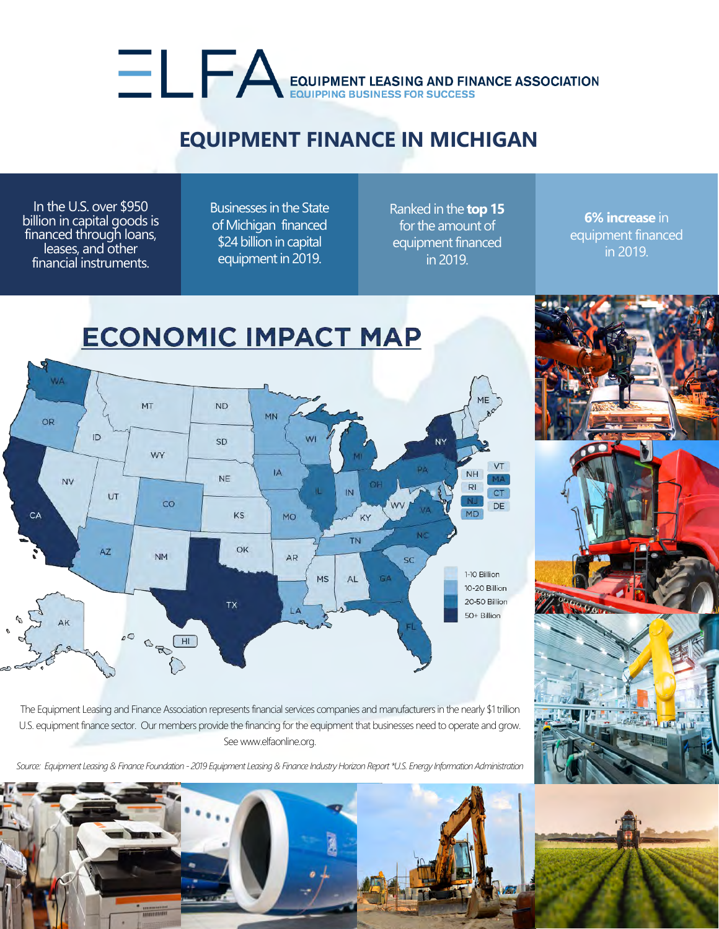## EQUIPMENT LEASING AND FINANCE ASSOCIATION

## **EQUIPMENT FINANCE IN MICHIGAN**

In the U.S. over \$950 billion in capital goods is financed through loans, leases, and other financial instruments.

Businesses in the State of Michigan financed \$24 billion in capital equipment in 2019.

Ranked in the **top 15** for the amount of equipment financed in 2019.

**6% increase** in equipment financed in 2019.



The Equipment Leasing and Finance Association represents financial services companies and manufacturers in the nearly \$1 trillion U.S. equipment finance sector. Our members provide the financing for the equipment that businesses need to operate and grow. See www.elfaonline.org.

*Source: Equipment Leasing & Finance Foundation - 2019 Equipment Leasing & Finance Industry Horizon Report \*U.S. Energy Information Administration*